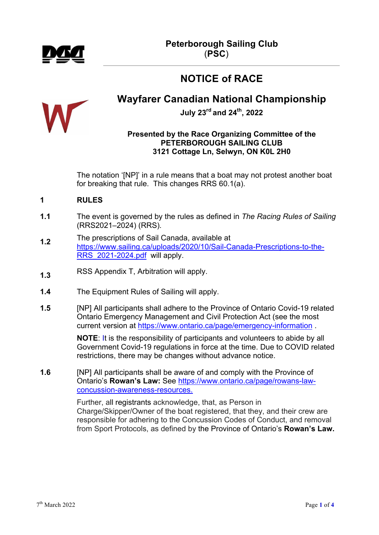

# **NOTICE of RACE**



# **Wayfarer Canadian National Championship**

**July 23rd and 24th, 2022**

# **Presented by the Race Organizing Committee of the PETERBOROUGH SAILING CLUB 3121 Cottage Ln, Selwyn, ON K0L 2H0**

The notation '[NP]' in a rule means that a boat may not protest another boat for breaking that rule. This changes RRS 60.1(a).

# **1 RULES**

- **1.1** The event is governed by the rules as defined in *The Racing Rules of Sailing* (RRS2021–2024) (RRS)*.*
- **1.2** The prescriptions of Sail Canada, available at https://www.sailing.ca/uploads/2020/10/Sail-Canada-Prescriptions-to-the-RRS\_2021-2024.pdf will apply.
- **1.3** RSS Appendix T, Arbitration will apply.
- **1.4** The Equipment Rules of Sailing will apply.
- **1.5** [NP] All participants shall adhere to the Province of Ontario Covid-19 related Ontario Emergency Management and Civil Protection Act (see the most current version at https://www.ontario.ca/page/emergency-information .

**NOTE**: It is the responsibility of participants and volunteers to abide by all Government Covid-19 regulations in force at the time. Due to COVID related restrictions, there may be changes without advance notice.

**1.6** [NP] All participants shall be aware of and comply with the Province of Ontario's **Rowan's Law:** See https://www.ontario.ca/page/rowans-lawconcussion-awareness-resources.

> Further, all registrants acknowledge, that, as Person in Charge/Skipper/Owner of the boat registered, that they, and their crew are responsible for adhering to the Concussion Codes of Conduct, and removal from Sport Protocols, as defined by the Province of Ontario's **Rowan's Law.**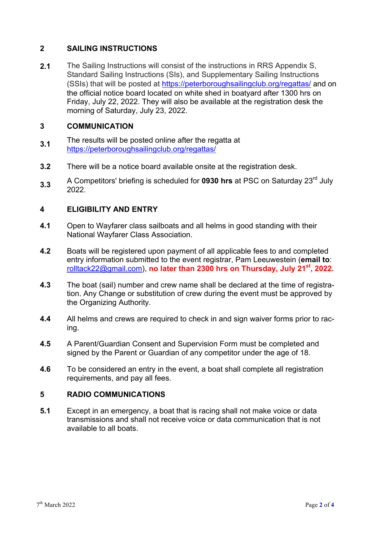# **2 SAILING INSTRUCTIONS**

**2.1** The Sailing Instructions will consist of the instructions in RRS Appendix S, Standard Sailing Instructions (SIs), and Supplementary Sailing Instructions (SSIs) that will be posted at https://peterboroughsailingclub.org/regattas/ and on the official notice board located on white shed in boatyard after 1300 hrs on Friday, July 22, 2022. They will also be available at the registration desk the morning of Saturday, July 23, 2022.

## **3 COMMUNICATION**

- **3.1** The results will be posted online after the regatta at https://peterboroughsailingclub.org/regattas/
- **3.2** There will be a notice board available onsite at the registration desk.
- **3.3** A Competitors' briefing is scheduled for **0930 hrs** at PSC on Saturday 23rd July 2022.

# **4 ELIGIBILITY AND ENTRY**

- **4.1** Open to Wayfarer class sailboats and all helms in good standing with their National Wayfarer Class Association.
- **4.2** Boats will be registered upon payment of all applicable fees to and completed entry information submitted to the event registrar, Pam Leeuwestein (**email to**: rolltack22@gmail.com), **no later than 2300 hrs on Thursday, July 21st, 2022.**
- **4.3** The boat (sail) number and crew name shall be declared at the time of registration. Any Change or substitution of crew during the event must be approved by the Organizing Authority.
- **4.4** All helms and crews are required to check in and sign waiver forms prior to racing.
- **4.5** A Parent/Guardian Consent and Supervision Form must be completed and signed by the Parent or Guardian of any competitor under the age of 18.
- **4.6** To be considered an entry in the event, a boat shall complete all registration requirements, and pay all fees.

## **5 RADIO COMMUNICATIONS**

**5.1** Except in an emergency, a boat that is racing shall not make voice or data transmissions and shall not receive voice or data communication that is not available to all boats.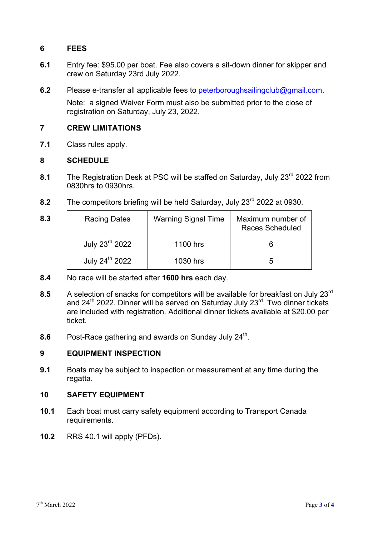# **6 FEES**

- **6.1** Entry fee: \$95.00 per boat. Fee also covers a sit-down dinner for skipper and crew on Saturday 23rd July 2022.
- **6.2** Please e-transfer all applicable fees to peterboroughsailingclub@gmail.com.

Note: a signed Waiver Form must also be submitted prior to the close of registration on Saturday, July 23, 2022.

# **7 CREW LIMITATIONS**

**7.1** Class rules apply.

### **8 SCHEDULE**

- **8.1** The Registration Desk at PSC will be staffed on Saturday, July 23rd 2022 from 0830hrs to 0930hrs.
- **8.2** The competitors briefing will be held Saturday, July 23<sup>rd</sup> 2022 at 0930.

| 8.3 | <b>Racing Dates</b>        | <b>Warning Signal Time</b> | Maximum number of<br><b>Races Scheduled</b> |
|-----|----------------------------|----------------------------|---------------------------------------------|
|     | July 23rd 2022             | 1100 hrs                   |                                             |
|     | July 24 <sup>th</sup> 2022 | 1030 hrs                   | :5                                          |

- **8.4** No race will be started after **1600 hrs** each day.
- 8.5 A selection of snacks for competitors will be available for breakfast on July 23<sup>rd</sup> and 24<sup>th</sup> 2022. Dinner will be served on Saturday July 23<sup>rd</sup>. Two dinner tickets are included with registration. Additional dinner tickets available at \$20.00 per ticket.
- **8.6** Post-Race gathering and awards on Sunday July 24<sup>th</sup>.

### **9 EQUIPMENT INSPECTION**

**9.1** Boats may be subject to inspection or measurement at any time during the regatta.

#### **10 SAFETY EQUIPMENT**

- **10.1** Each boat must carry safety equipment according to Transport Canada requirements.
- **10.2** RRS 40.1 will apply (PFDs).